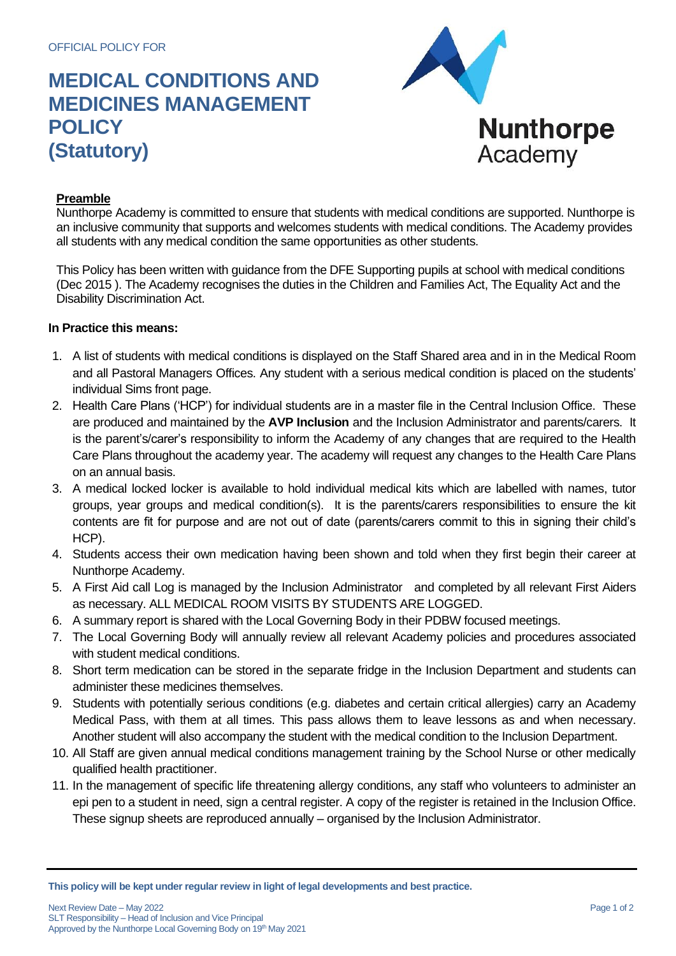## **MEDICAL CONDITIONS AND MEDICINES MANAGEMENT POLICY (Statutory)**



## **Preamble**

Nunthorpe Academy is committed to ensure that students with medical conditions are supported. Nunthorpe is an inclusive community that supports and welcomes students with medical conditions. The Academy provides all students with any medical condition the same opportunities as other students.

This Policy has been written with guidance from the DFE Supporting pupils at school with medical conditions (Dec 2015 ). The Academy recognises the duties in the Children and Families Act, The Equality Act and the Disability Discrimination Act.

## **In Practice this means:**

- 1. A list of students with medical conditions is displayed on the Staff Shared area and in in the Medical Room and all Pastoral Managers Offices. Any student with a serious medical condition is placed on the students' individual Sims front page.
- 2. Health Care Plans ('HCP') for individual students are in a master file in the Central Inclusion Office. These are produced and maintained by the **AVP Inclusion** and the Inclusion Administrator and parents/carers. It is the parent's/carer's responsibility to inform the Academy of any changes that are required to the Health Care Plans throughout the academy year. The academy will request any changes to the Health Care Plans on an annual basis.
- 3. A medical locked locker is available to hold individual medical kits which are labelled with names, tutor groups, year groups and medical condition(s). It is the parents/carers responsibilities to ensure the kit contents are fit for purpose and are not out of date (parents/carers commit to this in signing their child's HCP).
- 4. Students access their own medication having been shown and told when they first begin their career at Nunthorpe Academy.
- 5. A First Aid call Log is managed by the Inclusion Administrator and completed by all relevant First Aiders as necessary. ALL MEDICAL ROOM VISITS BY STUDENTS ARE LOGGED.
- 6. A summary report is shared with the Local Governing Body in their PDBW focused meetings.
- 7. The Local Governing Body will annually review all relevant Academy policies and procedures associated with student medical conditions.
- 8. Short term medication can be stored in the separate fridge in the Inclusion Department and students can administer these medicines themselves.
- 9. Students with potentially serious conditions (e.g. diabetes and certain critical allergies) carry an Academy Medical Pass, with them at all times. This pass allows them to leave lessons as and when necessary. Another student will also accompany the student with the medical condition to the Inclusion Department.
- 10. All Staff are given annual medical conditions management training by the School Nurse or other medically qualified health practitioner.
- 11. In the management of specific life threatening allergy conditions, any staff who volunteers to administer an epi pen to a student in need, sign a central register. A copy of the register is retained in the Inclusion Office. These signup sheets are reproduced annually – organised by the Inclusion Administrator.

**This policy will be kept under regular review in light of legal developments and best practice.**